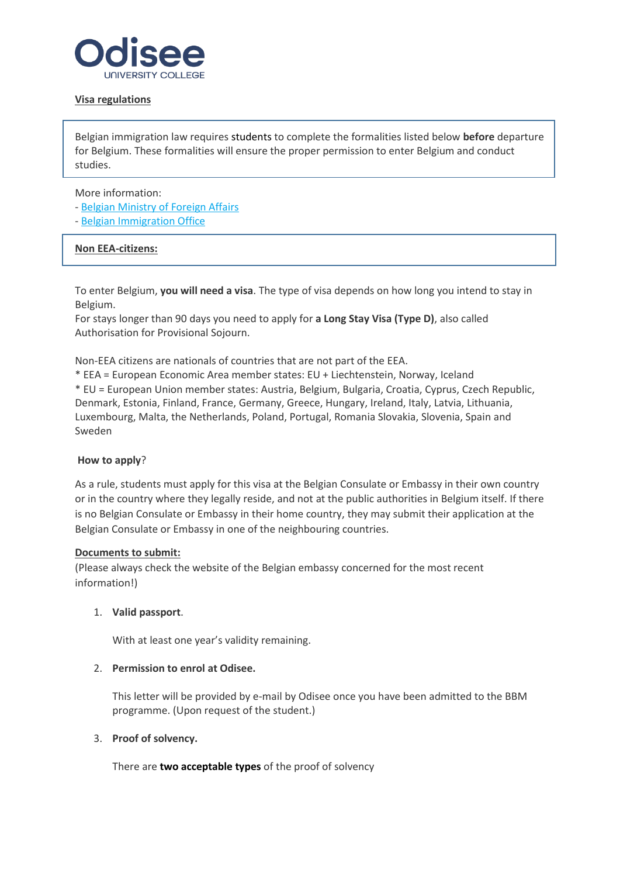

# **Visa regulations**

Belgian immigration law requires students to complete the formalities listed below **before** departure for Belgium. These formalities will ensure the proper permission to enter Belgium and conduct studies.

More information:

- [Belgian Ministry of Foreign Affairs](https://diplomatie.belgium.be/en/services/travel_to_belgium/visa_for_belgium)
- [Belgian Immigration Office](https://dofi.ibz.be/en)

# **Non EEA-citizens:**

To enter Belgium, **you will need a visa**. The type of visa depends on how long you intend to stay in Belgium.

For stays longer than 90 days you need to apply for **a Long Stay Visa (Type D)**, also called Authorisation for Provisional Sojourn.

Non-EEA citizens are nationals of countries that are not part of the EEA.

\* EEA = European Economic Area member states: EU + Liechtenstein, Norway, Iceland

\* EU = European Union member states: Austria, Belgium, Bulgaria, Croatia, Cyprus, Czech Republic, Denmark, Estonia, Finland, France, Germany, Greece, Hungary, Ireland, Italy, Latvia, Lithuania, Luxembourg, Malta, the Netherlands, Poland, Portugal, Romania Slovakia, Slovenia, Spain and Sweden

# **How to apply**?

As a rule, students must apply for this visa at the Belgian Consulate or Embassy in their own country or in the country where they legally reside, and not at the public authorities in Belgium itself. If there is no Belgian Consulate or Embassy in their home country, they may submit their application at the Belgian Consulate or Embassy in one of the neighbouring countries.

#### **Documents to submit:**

(Please always check the website of the Belgian embassy concerned for the most recent information!)

# 1. **Valid passport**.

With at least one year's validity remaining.

# 2. **Permission to enrol at Odisee.**

This letter will be provided by e-mail by Odisee once you have been admitted to the BBM programme. (Upon request of the student.)

# 3. **[Proof of solvency.](https://www.kuleuven.be/english/admissions/travelling/solvency)**

There are **two acceptable types** of the proof of solvency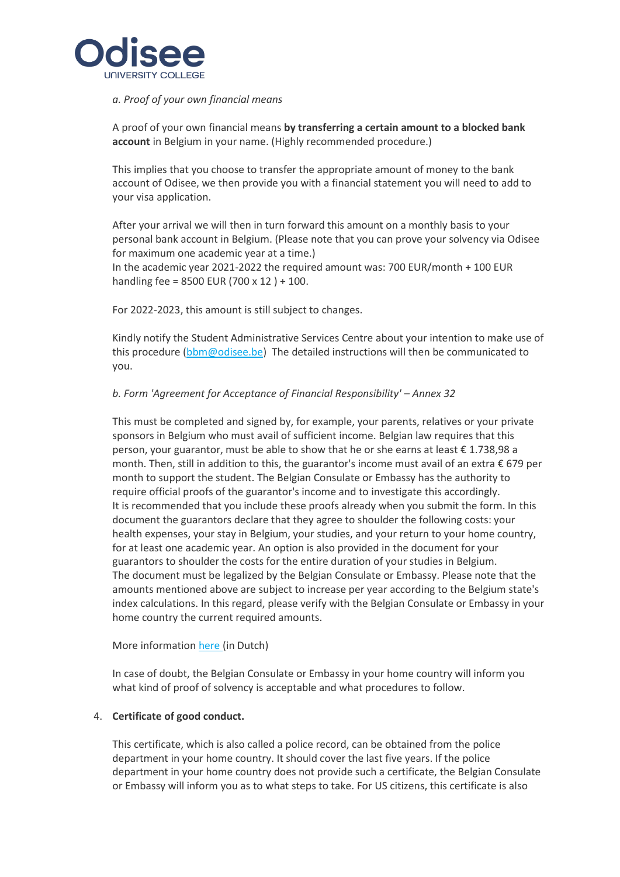

# *a. [Proof of your own financial means](https://www.kuleuven.be/english/admissions/travelling/solvency#2)*

A proof of your own financial means **by transferring a certain amount to a blocked bank account** in Belgium in your name. (Highly recommended procedure.)

This implies that you choose to transfer the appropriate amount of money to the bank account of Odisee, we then provide you with a financial statement you will need to add to your visa application.

After your arrival we will then in turn forward this amount on a monthly basis to your personal bank account in Belgium. (Please note that you can prove your solvency via Odisee for maximum one academic year at a time.)

In the academic year 2021-2022 the required amount was: 700 EUR/month + 100 EUR handling fee = 8500 EUR (700 x 12 ) + 100.

For 2022-2023, this amount is still subject to changes.

Kindly notify the Student Administrative Services Centre about your intention to make use of this procedure [\(bbm@odisee.be\)](mailto:bbm@odisee.be) The detailed instructions will then be communicated to you.

# *b. [Form 'Agreement for Acceptance of Financial Responsibility'](https://www.kuleuven.be/english/admissions/travelling/solvency#3) – Annex 32*

This must be completed and signed by, for example, your parents, relatives or your private sponsors in Belgium who must avail of sufficient income. Belgian law requires that this person, your guarantor, must be able to show that he or she earns at least € 1.738,98 a month. Then, still in addition to this, the guarantor's income must avail of an extra € 679 per month to support the student. The Belgian Consulate or Embassy has the authority to require official proofs of the guarantor's income and to investigate this accordingly. It is recommended that you include these proofs already when you submit the form. In this document the guarantors declare that they agree to shoulder the following costs: your health expenses, your stay in Belgium, your studies, and your return to your home country, for at least one academic year. An option is also provided in the document for your guarantors to shoulder the costs for the entire duration of your studies in Belgium. The document must be legalized by the Belgian Consulate or Embassy. Please note that the amounts mentioned above are subject to increase per year according to the Belgium state's index calculations. In this regard, please verify with the Belgian Consulate or Embassy in your home country the current required amounts.

# More informatio[n here](https://dofi.ibz.be/nl/themes/ressortissants-dun-pays-tiers/etudes/favoris/verbintenis-tot-tenlasteneming) (in Dutch)

In case of doubt, the Belgian Consulate or Embassy in your home country will inform you what kind of proof of solvency is acceptable and what procedures to follow.

# 4. **[Certificate of good conduct.](https://www.kuleuven.be/english/admissions/travelling/good-conduct)**

This certificate, which is also called a police record, can be obtained from the police department in your home country. It should cover the last five years. If the police department in your home country does not provide such a certificate, the Belgian Consulate or Embassy will inform you as to what steps to take. For US citizens, this certificate is also